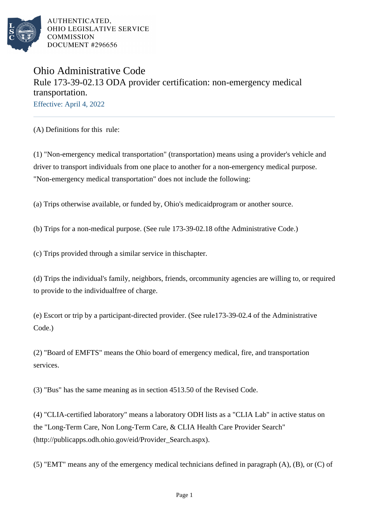

## Ohio Administrative Code Rule 173-39-02.13 ODA provider certification: non-emergency medical transportation. Effective: April 4, 2022

(A) Definitions for this rule:

(1) "Non-emergency medical transportation" (transportation) means using a provider's vehicle and driver to transport individuals from one place to another for a non-emergency medical purpose. "Non-emergency medical transportation" does not include the following:

(a) Trips otherwise available, or funded by, Ohio's medicaid program or another source.

(b) Trips for a non-medical purpose. (See rule 173-39-02.18 of the Administrative Code.)

(c) Trips provided through a similar service in this chapter.

(d) Trips the individual's family, neighbors, friends, or community agencies are willing to, or required to provide to the individual free of charge.

(e) Escort or trip by a participant-directed provider. (See rule 173-39-02.4 of the Administrative Code.)

(2) "Board of EMFTS" means the Ohio board of emergency medical, fire, and transportation services.

(3) "Bus" has the same meaning as in section 4513.50 of the Revised Code.

(4) "CLIA-certified laboratory" means a laboratory ODH lists as a "CLIA Lab" in active status on the "Long-Term Care, Non Long-Term Care, & CLIA Health Care Provider Search" (http://publicapps.odh.ohio.gov/eid/Provider\_Search.aspx).

(5) "EMT" means any of the emergency medical technicians defined in paragraph  $(A)$ ,  $(B)$ , or  $(C)$  of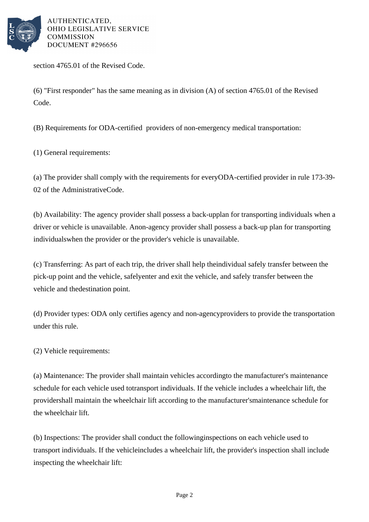

section 4765.01 of the Revised Code.

(6) "First responder" has the same meaning as in division  $(A)$  of section 4765.01 of the Revised Code.

(B) Requirements for ODA-certified providers of non-emergency medical transportation:

(1) General requirements:

(a) The provider shall comply with the requirements for every ODA-certified provider in rule 173-39- 02 of the Administrative Code.

(b) Availability: The agency provider shall possess a back-up plan for transporting individuals when a driver or vehicle is unavailable. A non-agency provider shall possess a back-up plan for transporting individuals when the provider or the provider's vehicle is unavailable.

(c) Transferring: As part of each trip, the driver shall help the individual safely transfer between the pick-up point and the vehicle, safely enter and exit the vehicle, and safely transfer between the vehicle and the destination point.

(d) Provider types: ODA only certifies agency and non-agency providers to provide the transportation under this rule.

(2) Vehicle requirements:

(a) Maintenance: The provider shall maintain vehicles according to the manufacturer's maintenance schedule for each vehicle used to transport individuals. If the vehicle includes a wheelchair lift, the provider shall maintain the wheelchair lift according to the manufacturer's maintenance schedule for the wheelchair lift.

(b) Inspections: The provider shall conduct the following inspections on each vehicle used to transport individuals. If the vehicle includes a wheelchair lift, the provider's inspection shall include inspecting the wheelchair lift: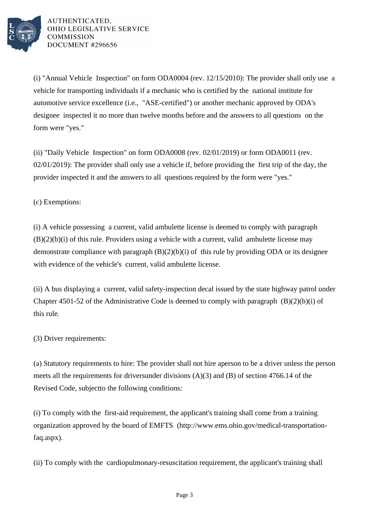

(i) "Annual Vehicle Inspection" on form ODA0004 (rev.  $12/15/2010$ ): The provider shall only use a vehicle for transporting individuals if a mechanic who is certified by the national institute for automotive service excellence (i.e., "ASE-certified") or another mechanic approved by ODA's designee inspected it no more than twelve months before and the answers to all questions on the form were "yes."

(ii) "Daily Vehicle Inspection" on form ODA0008 (rev.  $02/01/2019$ ) or form ODA0011 (rev.  $02/01/2019$ : The provider shall only use a vehicle if, before providing the first trip of the day, the provider inspected it and the answers to all questions required by the form were "yes."

(c) Exemptions:

(i) A vehicle possessing a current, valid ambulette license is deemed to comply with paragraph  $(B)(2)(b)(i)$  of this rule. Providers using a vehicle with a current, valid ambulette license may demonstrate compliance with paragraph  $(B)(2)(b)(i)$  of this rule by providing ODA or its designee with evidence of the vehicle's current, valid ambulette license.

(ii) A bus displaying a current, valid safety-inspection decal issued by the state highway patrol under Chapter 4501-52 of the Administrative Code is deemed to comply with paragraph  $(B)(2)(b)(i)$  of this rule.

 $(3)$  Driver requirements:

(a) Statutory requirements to hire: The provider shall not hire a person to be a driver unless the person meets all the requirements for drivers under divisions  $(A)(3)$  and  $(B)$  of section 4766.14 of the Revised Code, subject to the following conditions:

(i) To comply with the first-aid requirement, the applicant's training shall come from a training organization approved by the board of EMFTS (http://www.ems.ohio.gov/medical-transportationfaq.aspx).

(ii) To comply with the cardiopulmonary-resuscitation requirement, the applicant's training shall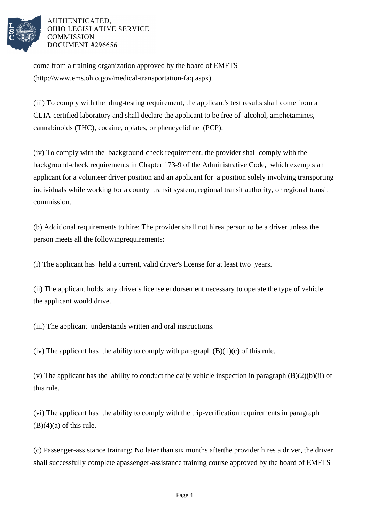

come from a training organization approved by the board of EMFTS (http://www.ems.ohio.gov/medical-transportation-faq.aspx).

(iii) To comply with the drug-testing requirement, the applicant's test results shall come from a CLIA-certified laboratory and shall declare the applicant to be free of alcohol, amphetamines, cannabinoids (THC), cocaine, opiates, or phencyclidine (PCP).

(iv) To comply with the background-check requirement, the provider shall comply with the background-check requirements in Chapter 173-9 of the Administrative Code, which exempts an applicant for a volunteer driver position and an applicant for a position solely involving transporting individuals while working for a county transit system, regional transit authority, or regional transit commission.

(b) Additional requirements to hire: The provider shall not hire a person to be a driver unless the person meets all the following requirements:

(i) The applicant has held a current, valid driver's license for at least two years.

(ii) The applicant holds any driver's license endorsement necessary to operate the type of vehicle the applicant would drive.

(iii) The applicant understands written and oral instructions.

(iv) The applicant has the ability to comply with paragraph  $(B)(1)(c)$  of this rule.

(v) The applicant has the ability to conduct the daily vehicle inspection in paragraph  $(B)(2)(b)(ii)$  of this rule.

(vi) The applicant has the ability to comply with the trip-verification requirements in paragraph  $(B)(4)(a)$  of this rule.

(c) Passenger-assistance training: No later than six months after the provider hires a driver, the driver shall successfully complete a passenger-assistance training course approved by the board of EMFTS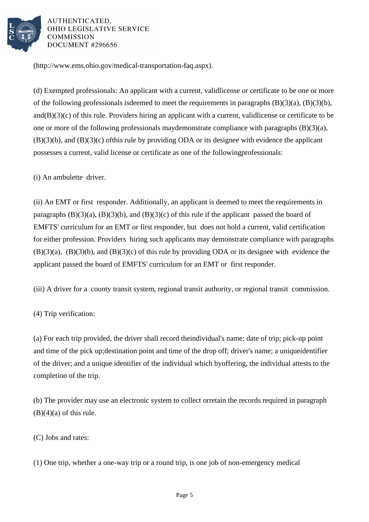

(http://www.ems.ohio.gov/medical-transportation-faq.aspx).

(d) Exempted professionals: An applicant with a current, valid license or certificate to be one or more of the following professionals is deemed to meet the requirements in paragraphs  $(B)(3)(a)$ ,  $(B)(3)(b)$ , and  $(B)(3)(c)$  of this rule. Providers hiring an applicant with a current, valid license or certificate to be one or more of the following professionals may demonstrate compliance with paragraphs  $(B)(3)(a)$ ,  $(B)(3)(b)$ , and  $(B)(3)(c)$  of this rule by providing ODA or its designee with evidence the applicant possesses a current, valid license or certificate as one of the following professionals:

(i) An ambulette driver.

(ii) An EMT or first responder. Additionally, an applicant is deemed to meet the requirements in paragraphs  $(B)(3)(a)$ ,  $(B)(3)(b)$ , and  $(B)(3)(c)$  of this rule if the applicant passed the board of EMFTS' curriculum for an EMT or first responder, but does not hold a current, valid certification for either profession. Providers hiring such applicants may demonstrate compliance with paragraphs  $(B)(3)(a)$ ,  $(B)(3)(b)$ , and  $(B)(3)(c)$  of this rule by providing ODA or its designee with evidence the applicant passed the board of EMFTS' curriculum for an EMT or first responder.

(iii) A driver for a county transit system, regional transit authority, or regional transit commission.

(4) Trip verification:

(a) For each trip provided, the driver shall record the individual's name; date of trip; pick-up point and time of the pick up; destination point and time of the drop off; driver's name; a unique identifier of the driver; and a unique identifier of the individual which by offering, the individual attests to the completion of the trip.

(b) The provider may use an electronic system to collect or retain the records required in paragraph  $(B)(4)(a)$  of this rule.

(C) Jobs and rates:

(1) One trip, whether a one-way trip or a round trip, is one job of non-emergency medical